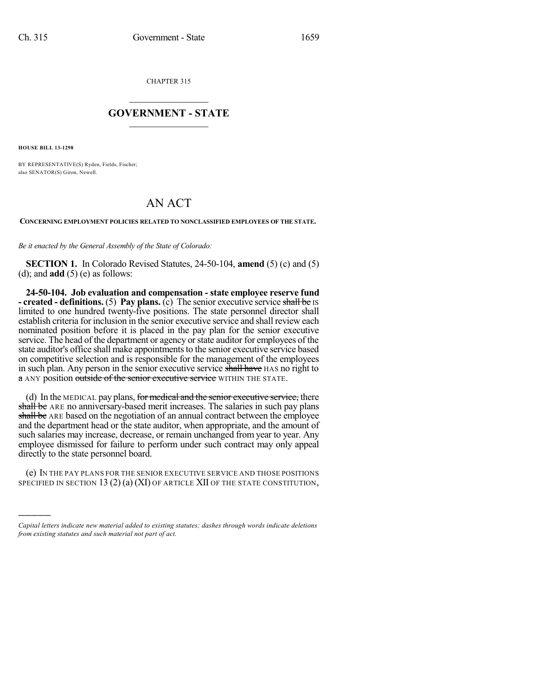CHAPTER 315

## $\overline{\phantom{a}}$  . The set of the set of the set of the set of the set of the set of the set of the set of the set of the set of the set of the set of the set of the set of the set of the set of the set of the set of the set o **GOVERNMENT - STATE**  $\_$

**HOUSE BILL 13-1298**

)))))

BY REPRESENTATIVE(S) Ryden, Fields, Fischer; also SENATOR(S) Giron, Newell.

## AN ACT

**CONCERNING EMPLOYMENT POLICIES RELATED TO NONCLASSIFIED EMPLOYEES OF THE STATE.**

*Be it enacted by the General Assembly of the State of Colorado:*

**SECTION 1.** In Colorado Revised Statutes, 24-50-104, **amend** (5) (c) and (5) (d); and **add** (5) (e) as follows:

**24-50-104. Job evaluation and compensation - state employee reserve fund - created - definitions.** (5) **Pay plans.** (c) The senior executive service shall be IS limited to one hundred twenty-five positions. The state personnel director shall establish criteria for inclusion in the senior executive service and shall review each nominated position before it is placed in the pay plan for the senior executive service. The head of the department or agency or state auditor for employees of the state auditor's office shall make appointments to the senior executive service based on competitive selection and is responsible for the management of the employees in such plan. Any person in the senior executive service shall have HAS no right to a ANY position outside of the senior executive service WITHIN THE STATE.

(d) In the MEDICAL pay plans, for medical and the senior executive service, there shall be ARE no anniversary-based merit increases. The salaries in such pay plans shall be ARE based on the negotiation of an annual contract between the employee and the department head or the state auditor, when appropriate, and the amount of such salaries may increase, decrease, or remain unchanged from year to year. Any employee dismissed for failure to perform under such contract may only appeal directly to the state personnel board.

(e) IN THE PAY PLANS FOR THE SENIOR EXECUTIVE SERVICE AND THOSE POSITIONS SPECIFIED IN SECTION 13 (2) (a) (XI) OF ARTICLE XII OF THE STATE CONSTITUTION,

*Capital letters indicate new material added to existing statutes; dashes through words indicate deletions from existing statutes and such material not part of act.*